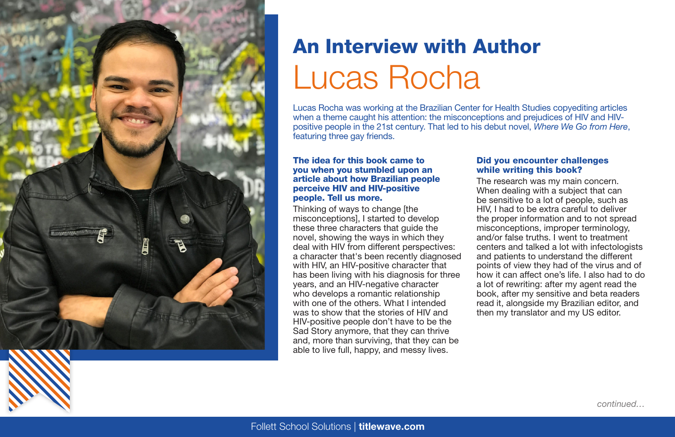

# An Interview with Author [Lucas Rocha](http://www.titlewave.com/go/node/253679?utm_medium=Catalog%20-%20Fiction&utm_source=print&utm_campaign=Publisher-Back%20to%20School%20Secondary%20Catalog-FY21&utm_content=Lucas%20Rochas
)

Lucas Rocha was working at the Brazilian Center for Health Studies copyediting articles when a theme caught his attention: the misconceptions and prejudices of HIV and HIVpositive people in the 21st century. That led to his debut novel, *Where We Go from Here*, featuring three gay friends.

#### The idea for this book came to you when you stumbled upon an article about how Brazilian people perceive HIV and HIV-positive people. Tell us more.

Thinking of ways to change [the misconceptions], I started to develop these three characters that guide the novel, showing the ways in which they deal with HIV from different perspectives: a character that's been recently diagnosed with HIV, an HIV-positive character that has been living with his diagnosis for three years, and an HIV-negative character who develops a romantic relationship with one of the others. What I intended was to show that the stories of HIV and HIV-positive people don't have to be the Sad Story anymore, that they can thrive and, more than surviving, that they can be able to live full, happy, and messy lives.

### Did you encounter challenges while writing this book?

The research was my main concern. When dealing with a subject that can be sensitive to a lot of people, such as HIV, I had to be extra careful to deliver the proper information and to not spread misconceptions, improper terminology, and/or false truths. I went to treatment centers and talked a lot with infectologists and patients to understand the different points of view they had of the virus and of how it can affect one's life. I also had to do a lot of rewriting: after my agent read the book, after my sensitive and beta readers read it, alongside my Brazilian editor, and then my translator and my US editor.